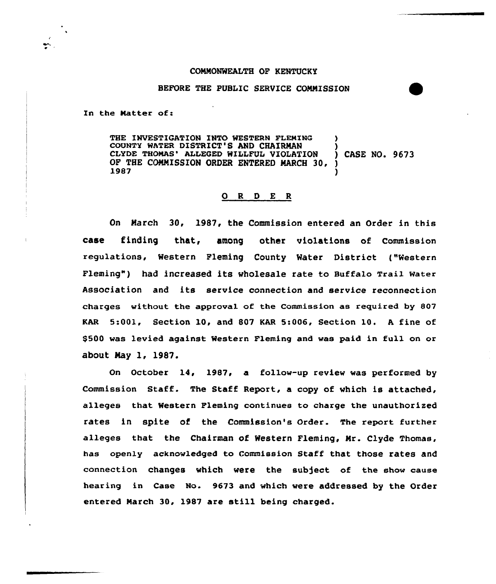### COMMONWEALTH OF KENTUCKY

### BEFORE THE PUBLIC SERVICE COMMISSION

In the Matter of:

THE INVESTIGATION INTO WESTERN FLEMING COUNTY WATER DISTRICT'S AND CHAIRMAN (3)<br>CLYDE THOMAS' ALLEGED WILLFUL VIOLATION (3) CASE NO. 9673 CLYDE THOMAS' ALLEGED WILLFUL VIOLATION OF THE COMMISSION ORDER ENTERED MARCH 30,  $\bigcup_{1}^{6}$  1987  $\begin{array}{c}\n\text{1987} \\
\text{1987}\n\end{array}$ 

# 0 <sup>R</sup> <sup>D</sup> E <sup>R</sup>

On March 30, 1987, the Commission entered an Order in this case finding that, among other violations of Commission regulations, Western Fleming County Water District ("Western Fleming" ) had increased its wholesale rate to Buffalo Trail water Association and its service connection and service reconnection charges without the approval of the Commission as required by 807 KAR 5:001, Section 10, and 807 KAR 5:006, Section 10. <sup>A</sup> fine of \$500 was levied against Western Fleming and was paid in full on or about May l, 1987.

On October 14, 1987, a follow-up review was performed by Commission Staff. The Staff Report, a copy of which is attached, alleges that Western Fleming continues to charge the unauthorized rates in spite of the Commission's Order. The report further alleges that the Chairman of Western Fleming, Mr. Clyde Thomas, has openly acknowledged to Commission Staff that those rates and connection changes which were the subject of the show cause hearing in Case No. 9673 and which were addressed by the Order entered Narch 30, 1987 are still being charged.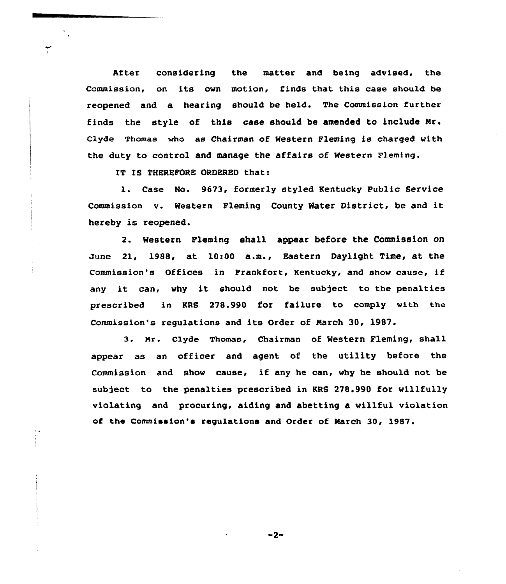After considering the matter and being advised, the Commission, on its own motion, finds that this case should be reopened and a hearing should be held. The Commission further finds the style of this case should be amended to include Mr. Clyde Thomas who as Chairman of Western Fleming is charged with the duty to control and manage the affairs of Western Fleming.

IT IS THEREFORE ORDERED that:

1. Case No. 9673, formerly styled Kentucky Public Service Commission v. Western Fleming County Hater District, be and it hereby is reopened.

2. Western Fleming shall appear before the Commission on June 21, 1988, at 10:00 a.m., Eastern Daylight Time, at the Commission's Offices in Frankfort, Kentucky, and show cause, if any it can, why it should not be subject to the penalties prescribed in KRS 278.990 for failure to comply with the Commission's regulations and its Order of March 30, 1987.

3. Mr. Clyde Thomas, Chairman of Western Fleming, shall appear as an officer and agent of the utility before the Commission and show cause< if any he can, why he should not be subject to the penalties prescribed in KRS 278.990 for willfully violating and procuring, aiding and abetting a willful violation of the Commission's regulations and Order of March 30, 1987.

 $-2-$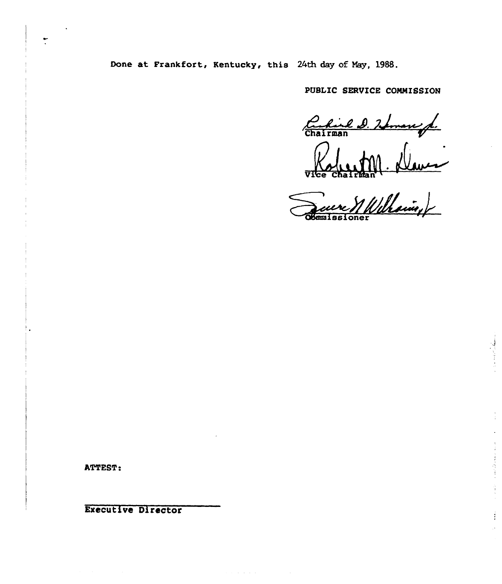Done at Frankfort, Kentucky, this 24th day of May, 1988.

and and

PUBLIC SERVICE COMMISSION

Carlied D. Zoman f.

Vice Chairma

dmissioner

Î.

**ATTEST:** 

Executive Director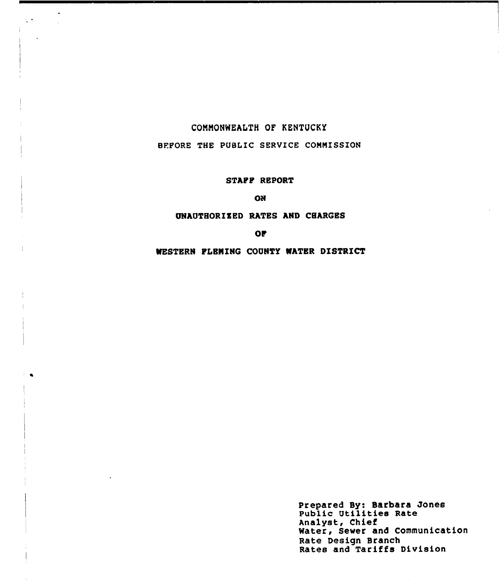### CONNONWEALTH OF KENTUCKY

 $\bullet$ 

 $\zeta(\bullet)$ 

### BEFORE THE PUBLIC SERVICE COMMISSION

# STAFF REPORT

**KO** 

### UNAUTHORIZED RATES AND CHARGES

**OP** 

WESTERN FLEMING COUNTY WATER DISTRICT

Prepared By: Barbara Jones Public Utilities Rate Analyst, Chief Water, Sewer and Communication Rate Design Branch Rates and Tariffs Division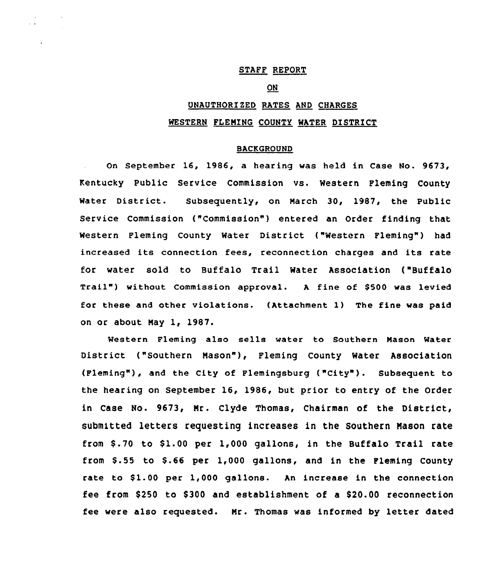# STAFF REPORT

### **ON**

# UNAUTHORIZED RATES AND CHARGES WESTERN FLEMING COUNTY WATER DISTRICT

### BACKGROUND

On September 16, 1986, a hearing was held in Case No. 9673, Kentucky Public Service Commission vs. Western Fleming County Water District. Subsequently, on March 30, 1987, the Public Service Commission ("Commission") entered an Order finding that Western Fleming County Water District ("Western Fleming") had increased its connection fees, reconnection charges and its rate for water sold to Buffalo Trail Water Association ("Buffalo Trail") without Commission approval. A fine of \$500 was levied for these and other violations. (Attachment 1) The fine was paid on or about May 1, 1987,

Western Fleming also sells water to Southern Mason Mater District ("Southern Mason"), Fleming County Water Association (Fleming"), and the City of Flemingsburg ("City"). Subsequent to the hearing on September 16, 1986, but prior to entry of the Order in Case No. 9673, Mr. Clyde Thomas, Chairman of the District, submitted letters requesting increases in the Southern Mason rate from  $$.70$  to  $$1.00$  per 1,000 gallons, in the Buffalo Trail rate from  $\$$ .55 to  $\$$ .66 per 1,000 gallons, and in the Fleming County rate to \$1.00 per 1,000 gallons. An increase in the connection fee from \$250 to \$300 and establishment of a \$20.00 reconnection fee were also requested. Mr. Thomas was informed by letter dated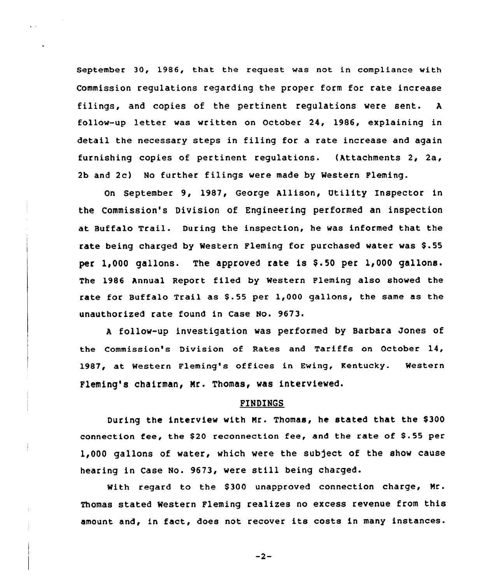September 30, 1986, that the request was not in compliance with Commission regulations regarding the proper form for rate increase filings, and copies of the pertinent regulations were sent. <sup>A</sup> follow-up letter was written on October 24, 1986, explaining in detail the necessary steps in filing for a rate increase and again furnishing copies of pertinent regulations. (Attachments 2, 2a, 2b and 2c) No further filings were made by Western Fleming.

On September 9, 1987, George Allison, Utility Inspector in the Commission's Division of Engineering performed an inspection at Buffalo Trail. During the inspection, he was informed that the rate being charged by Western Fleming for purchased water was \$.55 per 1,000 gallons. The approved rate is \$.50 per 1,000 gallons. The 1986 Annual Report filed by Western Fleming also showed the rate for Buffalo Trail as  $$.55$  per  $1,000$  gallons, the same as the unauthorized rate found in Case No. 9673.

<sup>A</sup> follow-up investigation was performed by Barbara Jones of the Commission's Division of Rates and Tariffs on October 14, 1987, at Western Fleming's offices in Ewing, Kentucky. Western Fleming's chairman, Nr. Thomas, was interviewed.

### FINDINGS

During the interview with Mr. Thomas, he stated that the \$300 connection fee, the 820 reconnection fee, and the rate of 8.55 per 1,000 gallons of water, which were the subject of the show cause hearing in Case No. 9673, were still being charged.

With reqard to the \$300 unapproved connection charge, Mr. Thomas stated Western Fleming realizes no excess revenue from this amount and, in fact, does not recover its costs in many instances.

 $-2-$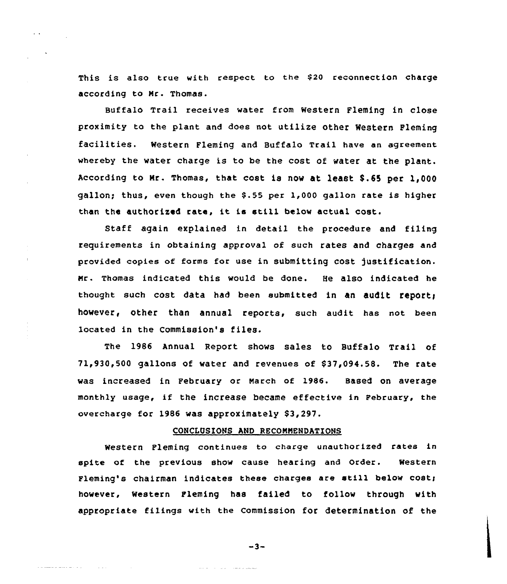This is also true with respect to the \$20 reconnection charge according to Hr. Thomas.

BUffalo Trail receives water from Western Fleming in close proximity to the plant and does not utilize other Western Fleming facilities. Western Fleming and Buffalo Trail have an agreement whereby the water charge is to be the cost of water at the plant. According to Nr. Thomas, that cost is now at least 8.65 per 1,QQQ gallon; thus, even though the \$.55 per 1,000 gallon rate is higher than the authorized rate, it is still below actual cost.

Staff again explained in detail the procedure and filing requirements in obtaining approval of such rates and charges and provided copies of forms for use in submitting cost justification. Nr. Thomas indicated this would be done. He also indicated he thought such cost data had been submitted in an audit report; however, other than annual reports, such audit has not been located in the Commission's files.

The 1986 Annual Report shows sales to Buffalo Trail of 71,930,500 gallons of water and revenues of S37,094.58. The rate was increased in February or March of 1986. Based on average monthly usage, if the increase became effective in February, the overcharge for 1986 was approximately S3<297.

### CONCLUSIONS AND RECONNENDATIONS

Western Fleming continues to charge unauthorized rates in spite of the previous show cause hearing and Order. Western Fleming's chairman indicates these charges are still below cost; however, Western Fleming has failed to follow through with appropriate filings with the Commission for determination of the

 $-3-$ 

المصادعات الادارات الدائمان

 $\sim 100$  km s  $^{-1}$ 

الممالي والمتحدث والمستعمل والمستعملة والمتحدة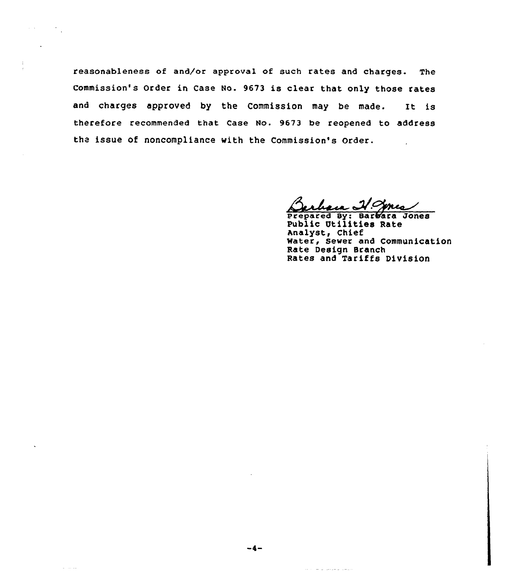reasonableness of and/or approval of such rates and charges. The commission's Order in Case No. 9673 is clear that only those rates and charges approved by the Commission may be made. It is therefore recommended that case No. 9673 be reopened to address the issue of noncompliance with the Commission's Order.

 $\label{eq:2.1} \mathcal{L}(\mathcal{A}) = \mathcal{L}(\mathcal{A}) \mathcal{L}(\mathcal{A})$ 

 $\omega$  and  $\omega$ 

prepared By: Barb'ara Jones Public Utilities Rate Analyst, Chief Water, Sewer and Communication Rate Design Branch Rates and Tariffs Division

 $\label{eq:2.1} \begin{array}{lllllllllllllllll} \alpha(\alpha) & \alpha(\alpha) & \alpha(\alpha) & \alpha(\alpha) & \alpha(\alpha) & \alpha(\alpha) & \alpha(\alpha) & \alpha(\alpha) & \alpha(\alpha) & \alpha(\alpha) & \alpha(\alpha) & \alpha(\alpha) & \alpha(\alpha) & \alpha(\alpha) & \alpha(\alpha) & \alpha(\alpha) & \alpha(\alpha) & \alpha(\alpha) & \alpha(\alpha) & \alpha(\alpha) & \alpha(\alpha) & \alpha(\alpha) & \alpha(\alpha) & \alpha(\alpha) & \alpha(\alpha) & \alpha(\alpha) & \alpha(\alpha) & \alpha(\alpha) & \alpha(\alpha) & \alpha(\alpha) & \alpha(\alpha) & \alpha(\alpha) & \alpha(\alpha$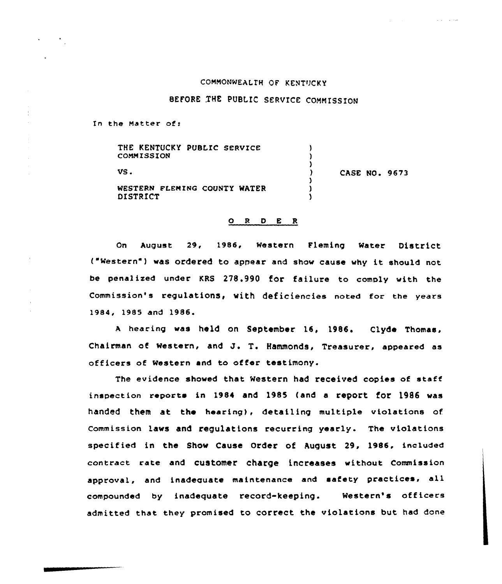### CONNONWEALIH OF KENTUCKY

# BEFORE THE PUBLIC SERVICE COMMISSION

In the Matter of:

| THE KENTUCKY PUBLIC SERVICE<br>COMMISSION       |                      |
|-------------------------------------------------|----------------------|
| VS.                                             | <b>CASE NO. 9673</b> |
| WESTERN FLEMING COUNTY WATER<br><b>DISTRICT</b> |                      |

#### ORDER

on August 29, 1986, western Fleming water District ("Western") was ordered to appear and show cause why it should not be penalized under KRS 278.990 for failure to comply with the Commission's regulations, with deficiencies noted for the years 1984, 1985 and 1986.

A hearing was held on September 16, 1986. Clyde Thomas, Chairman of western, and J. T. Hammonds, Treasurer, appeared as officers of Western and to offer testimony.

The evidence showed that Western had received copies of staff inspection reports in 1984 and 1985 (and a report for 1986 was handed them at the hearing), detailing multiple violations of Commission laws and regulations recurring yearly. The violations specified in the Show Cause Order of August 29, 1986. included contract rate and customer charge increases without commission approval, and inadeauate maintenance and safety practices, all compounded by inadequate record-keeping. Western's officers admitted that they promised to correct the violations but had done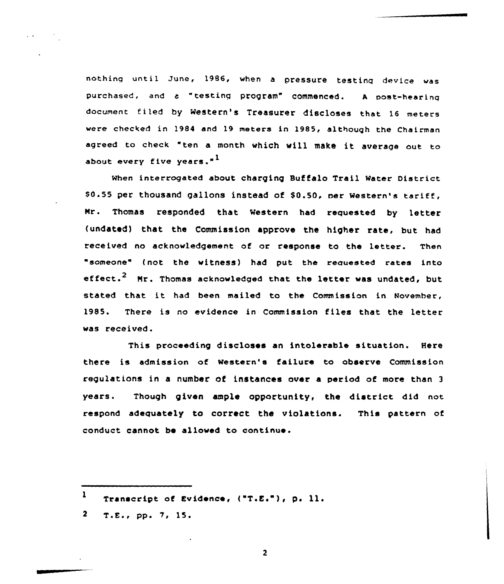nothing until June, 1986, when <sup>a</sup> pressure testing device was purchased, and c "testing program" commenced. <sup>A</sup> post-hearing document filed by Western's Treasurer discloses that 16 meters were checked in 1984 and 19 meters in 1985, although the Chairman agreed to check "ten <sup>a</sup> month which vill make it average out to about every five years."<sup>1</sup>

when interrogated about charging Buffalo Trail water District \$0.55 per thousand gallons instead of \$0.50, per Western's tariff, Nr. Thomas responded that Western had requested by letter (undated) that the Commission approve the higher rate, but had received no acknowledgement of or response to the letter. Then "someone" (not the witness) had put the requested rates into effect.<sup>2</sup> Mr. Thomas acknowledged that the letter was undated, but stated that it had been mailed to the Commission in November, 1985. There is no evidence in Commission files that the letter was received.

This proceeding discloses an intolerable situation. Here there is admission of Western's failure to observe Commission regulations in a number of instances over a period of more than <sup>3</sup> years. Though given ample opportunity, the district did not respond adequately to correct the violations. This pattern of conduct cannot be allowed to continue.

 $2, T.E., pp. 7, 15.$ 

 $\overline{2}$ 

 $\mathbf{1}$ Transcript of Evidence, ("T.E."), p. 11.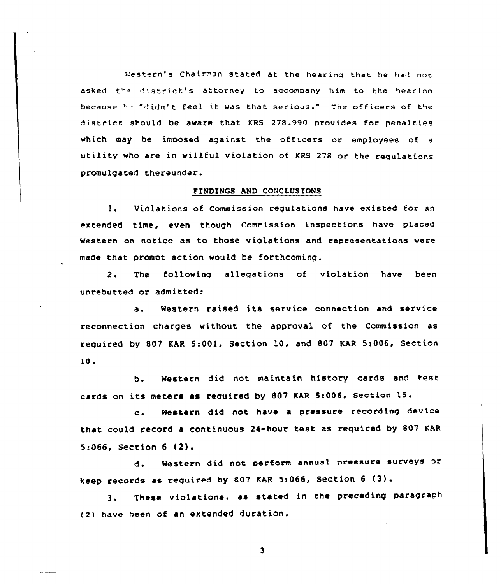t:estern' Chairman stated at the hearinq that he hart not asked the district's attorney to accompany him to the hearing because:.. "didn't feel it was that serious." The officers of the district should be aware that KRS 278,990 provides for penalties which may be imposed against the officers or employees of <sup>a</sup> utility who are in willful violation of KRS <sup>278</sup> or the regulations promulgated thereunder.

# FINDINGS AND CONCLUSIONS

1. Violations of Commission regulations have existed for an extended time, even though Commission inspections have placed western on notice as to those violations and representations were made that prompt action would be forthcoming.

2. The following allegations of violation have been unrebutted or admitted:

a. Western raised its service connection and service reconnection charges without the approval of the Commission as required by 807 KAR 5:001, Section 10, and 807 KAR 5:006, Section 10.

b. Western did not maintain history cards and test. cards on its meters as required by 807 KAR 5:006, Section 15.

c. Western did not have <sup>a</sup> pressure recording device that could record a continuous 24-hour test as required by 807 KAR 5:066, Section <sup>6</sup> {2).

d. Western did not perform annual pressure surveys or keep records as required by <sup>802</sup> KAR 5:066, SeCtiOn <sup>6</sup> (3) .

3. These violations, as stated in the preceding paragraph (2) have been of an extended duration.

 $\overline{\mathbf{3}}$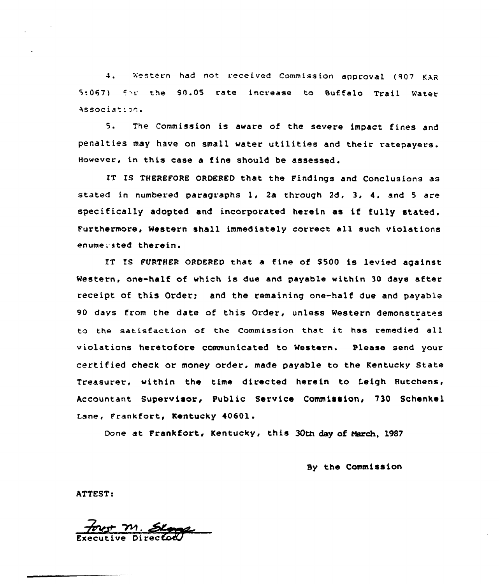4. Western had not received Commission approval (807 KAR 5:067) for the \$0.05 rate increase to Buffalo Trail Water Association.

5. The Commission is aware of the severe impact fines and penalties may have on small water utilities and their ratepayers. However, in this case a fine should be assessed.

IT IS THEREfORE ORDERED that the Findings and Conclusions as stated in numbered paragraphs 1, 2a through 2d, 3, 4, and <sup>5</sup> are specifically adopted and incorporated herein as if fully stated, furthermore, Mestern shall immediately correct all such violations enume: ated therein.

IT IS FURTHER ORDERED that a fine of \$500 is levied against Western, one-half of which is due and payable within 30 days atter receipt of this Order; and the remaining one-half due and payable 90 days from the date of this Order. unless western demonstrates to the satisfaction ot the Commission that it has remedied all violations heretofore communicated to Mestern. Please send your certified check or money order, made payable to the Kentucky State Treasurer, within the time directed herein to Leigh Hutchens, Accountant Su<mark>pervisor, Public Service Commission, 730 Schenke</mark> Lane, Frankfort, Kentucky 40601.

Done at Frankfort, Kentucky, this 30th day of March, 1987

By the Commission

ATTEST:

est M. E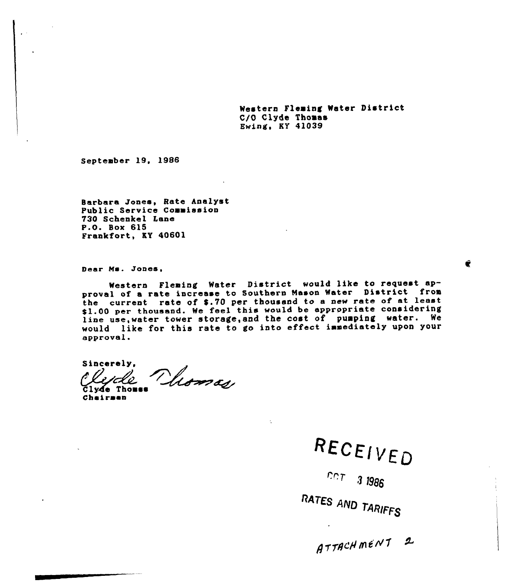Western Fleming Water District C/0 Clyde Thoaas Ewing, KY 41039

September 19, 1996

Barbara Jones, Rate Analyst Public Service Commission 730 Schenkel Lane P.O. Sox 615 Frankfort, KY 40601

Dear Ms. Jones,

Western Fleming Water District would like to request approval of <sup>a</sup> rate increase to Southern Mason Water District from the current rate of \$.70 per thousand to a new rate of at least \$1.00 per thousand. We feel this would be appropriate considering line use, water tower storage, and the cost of pumping water. We would like for this rate to go into effect immediately upon your approval.

Sincerely, Vliomas

Clyde Thomas<br>Cheirman

RECEIVED

 $\tau$  3

AND TARIFFS

 $ATTACHMENI2$ 

É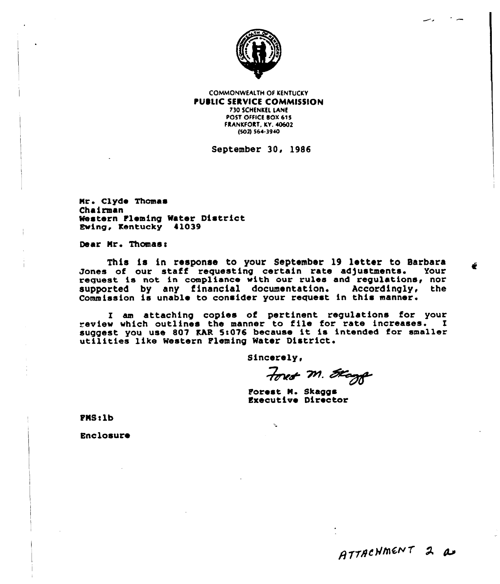

**COMMONWEALTH OF KENTUCKY** PUBLIC SERVICE COMMISSION 730 SCHENKEL LANE POST OFFICE BOX 615 FRANKFORT, KY. 40602 (\$02) \$64.3940

September 30, 1986

Nr <sup>~</sup> Clyde Thomas Chairman Western tleming Water District Ewing, Kentucky 41039

Dear Mr. Thomas:

This is in response to your September 19 letter to Barbara Jones of our staff requesting certain rate adjustments. Your request is not in compliance with our rules and regulations, nor<br>supported by any financial documentation. Accordingly, the supported by any financial documentation. Accordingly, Commission is unable to consider your request in this manner.

I am attaching copies of pertinent regulations for your eview which outlines the manner to file for rate increases. I suggest you use 807 KAR 5:076 because it is intended for smaller utilities like Western Pleming Water District.

Sincerely,

Ŷ,

Forest M. Stagge

Porest N. Skaggs Executive Director

PNSslb

Enclosure

÷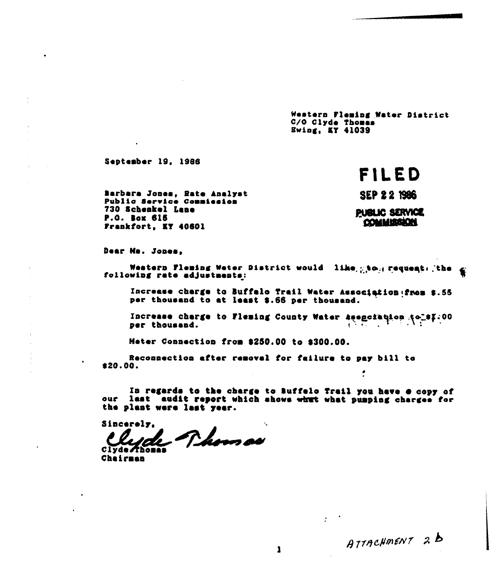Western Fleming Water District C/O Clyde Thomas **Ewing, KY 41039** 

September 19, 1986

# FILED

Barbara Jones, Rate Analyst Public Service Commission 730 Schenkel Lane P.O. Box 615 Frankfort, KY 40601

**SEP 22 1986** 

**PUBLIC SERVICE** COMMISSION

Dear Ms. Jones,

Western Fleming Weter District would like gton request. the g following rate adjustments:

Increase charge to Buffalo Trail Water Association from \$.55 per thousand to at least \$.66 per thousand.

Increase charge to Fleming County Water Asenciaçion (of \$7.00

Meter Connection from \$250.00 to \$300.00.

Reconnection after removal for failure to pay bill to  $$20.00.$  $\cdot$ 

In regards to the charge to Buffelo Trail you have  $\theta$  copy of our last audit report which ahows what what pumping charges for the plant were last year.

Sincerely. Phomas Clyde Thomas

Chairman

ATTACHMENT 2B

 $\mathbf{r}$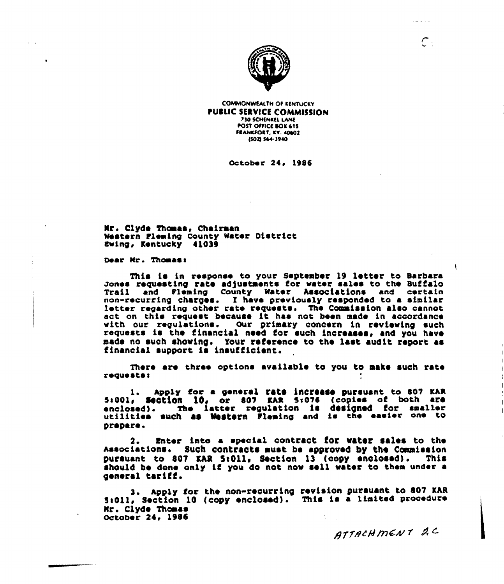

**COMMONWEALTH OF KENTUCKY PUBLIC SERVICE COMMISSION** 730 SCHENKEL LANE **POST OFFICE BOX 615** FRANKFORT, KY. 40602 15021 564-3940

October 24, 1986

Mr. Clyde Thomas, Chairman Western Fleming County Water District Ewing, Kentucky 41039

Dear Mr. Thomas:

This is in response to your September 19 letter to Barbara Jones requesting rate adjustments for water sales to the Buffalo<br>Trail and Pleming County Water Associations and certain<br>non-recurring charges. I have previously responded to a similar letter regarding other rate requests. The Commission also cannot act on this request because it has not been made in accordance with our requlations. Our primary concern in reviewing such requests is the financial need for such increases, and you have made no such showing. Your reference to the last audit report as financial support is insufficient.

There are three options available to you to make such rate requests:

Apply for a general rate increase pursuant to 807 KAR 5:001, Section 10, or 807 KAR 5:076 (copies of both are<br>enclosed). The latter regulation is designed for smaller utilities such as Western Fleming and is the easier one to prepare.

 $2.$ Enter into a special contract for water sales to the Associations. Such contracts must be approved by the Commission pursuant to 807 KAR 5:011, Section 13 (copy enclosed). This should be done only if you do not now sell water to them under a general tariff.

3. Apply for the non-recurring revision pursuant to 807 KAR 5:011, Section 10 (copy enclosed). This is a limited procedure Mr. Clyde Thomas October 24, 1986

ATTACHMENT 2C